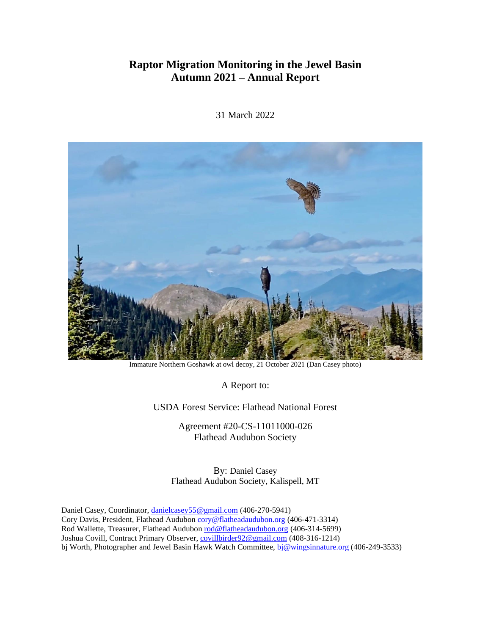# **Raptor Migration Monitoring in the Jewel Basin Autumn 2021 – Annual Report**



31 March 2022

Immature Northern Goshawk at owl decoy, 21 October 2021 (Dan Casey photo)

A Report to:

USDA Forest Service: Flathead National Forest

Agreement #20-CS-11011000-026 Flathead Audubon Society

By: Daniel Casey Flathead Audubon Society, Kalispell, MT

Daniel Casey, Coordinator[, danielcasey55@gmail.com](mailto:danielcasey55@gmail.com) (406-270-5941) Cory Davis, President, Flathead Audubon [cory@flatheadaudubon.org](mailto:cory@flatheadaudubon.org) (406-471-3314) Rod Wallette, Treasurer, Flathead Audubo[n rod@flatheadaudubon.org](mailto:rod@flatheadaudubon.org) (406-314-5699) Joshua Covill, Contract Primary Observer[, covillbirder92@gmail.com](mailto:covillbirder92@gmail.com) (408-316-1214) bj Worth, Photographer and Jewel Basin Hawk Watch Committee[, bj@wingsinnature.org](http://bj@wingsinnature.org) (406-249-3533)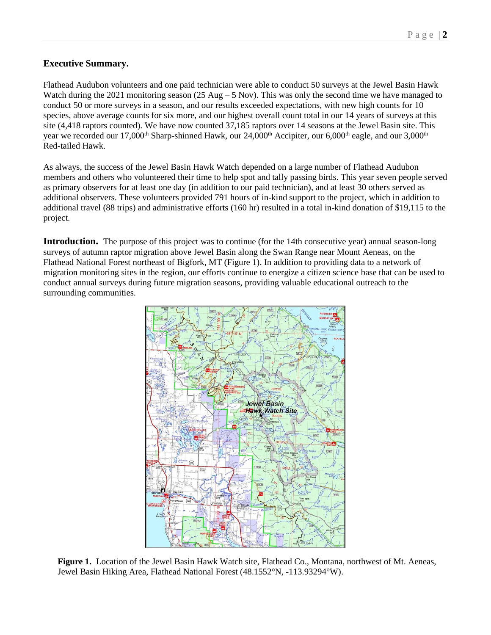## **Executive Summary.**

Flathead Audubon volunteers and one paid technician were able to conduct 50 surveys at the Jewel Basin Hawk Watch during the 2021 monitoring season (25 Aug – 5 Nov). This was only the second time we have managed to conduct 50 or more surveys in a season, and our results exceeded expectations, with new high counts for 10 species, above average counts for six more, and our highest overall count total in our 14 years of surveys at this site (4,418 raptors counted). We have now counted 37,185 raptors over 14 seasons at the Jewel Basin site. This year we recorded our 17,000<sup>th</sup> Sharp-shinned Hawk, our 24,000<sup>th</sup> Accipiter, our 6,000<sup>th</sup> eagle, and our 3,000<sup>th</sup> Red-tailed Hawk.

As always, the success of the Jewel Basin Hawk Watch depended on a large number of Flathead Audubon members and others who volunteered their time to help spot and tally passing birds. This year seven people served as primary observers for at least one day (in addition to our paid technician), and at least 30 others served as additional observers. These volunteers provided 791 hours of in-kind support to the project, which in addition to additional travel (88 trips) and administrative efforts (160 hr) resulted in a total in-kind donation of \$19,115 to the project.

**Introduction.** The purpose of this project was to continue (for the 14th consecutive year) annual season-long surveys of autumn raptor migration above Jewel Basin along the Swan Range near Mount Aeneas, on the Flathead National Forest northeast of Bigfork, MT (Figure 1). In addition to providing data to a network of migration monitoring sites in the region, our efforts continue to energize a citizen science base that can be used to conduct annual surveys during future migration seasons, providing valuable educational outreach to the surrounding communities.



**Figure 1.** Location of the Jewel Basin Hawk Watch site, Flathead Co., Montana, northwest of Mt. Aeneas, Jewel Basin Hiking Area, Flathead National Forest (48.1552°N, -113.93294°W).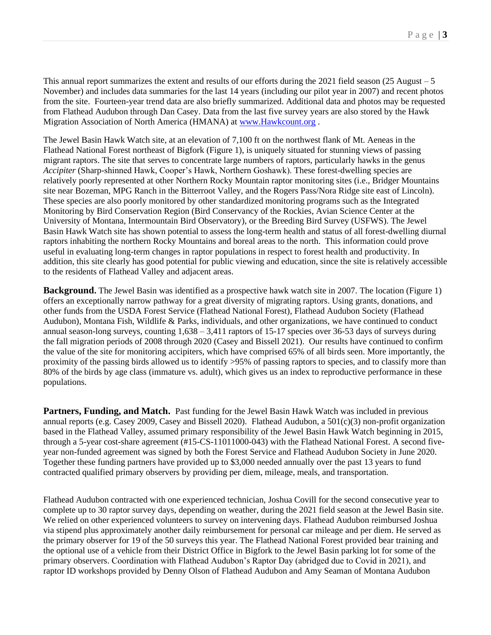This annual report summarizes the extent and results of our efforts during the 2021 field season (25 August – 5 November) and includes data summaries for the last 14 years (including our pilot year in 2007) and recent photos from the site. Fourteen-year trend data are also briefly summarized. Additional data and photos may be requested from Flathead Audubon through Dan Casey. Data from the last five survey years are also stored by the Hawk Migration Association of North America (HMANA) at [www.Hawkcount.org](http://www.hawkcount.org/) .

The Jewel Basin Hawk Watch site, at an elevation of 7,100 ft on the northwest flank of Mt. Aeneas in the Flathead National Forest northeast of Bigfork (Figure 1), is uniquely situated for stunning views of passing migrant raptors. The site that serves to concentrate large numbers of raptors, particularly hawks in the genus *Accipiter* (Sharp-shinned Hawk, Cooper's Hawk, Northern Goshawk). These forest-dwelling species are relatively poorly represented at other Northern Rocky Mountain raptor monitoring sites (i.e., Bridger Mountains site near Bozeman, MPG Ranch in the Bitterroot Valley, and the Rogers Pass/Nora Ridge site east of Lincoln). These species are also poorly monitored by other standardized monitoring programs such as the Integrated Monitoring by Bird Conservation Region (Bird Conservancy of the Rockies, Avian Science Center at the University of Montana, Intermountain Bird Observatory), or the Breeding Bird Survey (USFWS). The Jewel Basin Hawk Watch site has shown potential to assess the long-term health and status of all forest-dwelling diurnal raptors inhabiting the northern Rocky Mountains and boreal areas to the north. This information could prove useful in evaluating long-term changes in raptor populations in respect to forest health and productivity. In addition, this site clearly has good potential for public viewing and education, since the site is relatively accessible to the residents of Flathead Valley and adjacent areas.

**Background.** The Jewel Basin was identified as a prospective hawk watch site in 2007. The location (Figure 1) offers an exceptionally narrow pathway for a great diversity of migrating raptors. Using grants, donations, and other funds from the USDA Forest Service (Flathead National Forest), Flathead Audubon Society (Flathead Audubon), Montana Fish, Wildlife & Parks, individuals, and other organizations, we have continued to conduct annual season-long surveys, counting 1,638 – 3,411 raptors of 15-17 species over 36-53 days of surveys during the fall migration periods of 2008 through 2020 (Casey and Bissell 2021). Our results have continued to confirm the value of the site for monitoring accipiters, which have comprised 65% of all birds seen. More importantly, the proximity of the passing birds allowed us to identify >95% of passing raptors to species, and to classify more than 80% of the birds by age class (immature vs. adult), which gives us an index to reproductive performance in these populations.

**Partners, Funding, and Match.** Past funding for the Jewel Basin Hawk Watch was included in previous annual reports (e.g. Casey 2009, Casey and Bissell 2020). Flathead Audubon, a 501(c)(3) non-profit organization based in the Flathead Valley, assumed primary responsibility of the Jewel Basin Hawk Watch beginning in 2015, through a 5-year cost-share agreement (#15-CS-11011000-043) with the Flathead National Forest. A second fiveyear non-funded agreement was signed by both the Forest Service and Flathead Audubon Society in June 2020. Together these funding partners have provided up to \$3,000 needed annually over the past 13 years to fund contracted qualified primary observers by providing per diem, mileage, meals, and transportation.

Flathead Audubon contracted with one experienced technician, Joshua Covill for the second consecutive year to complete up to 30 raptor survey days, depending on weather, during the 2021 field season at the Jewel Basin site. We relied on other experienced volunteers to survey on intervening days. Flathead Audubon reimbursed Joshua via stipend plus approximately another daily reimbursement for personal car mileage and per diem. He served as the primary observer for 19 of the 50 surveys this year. The Flathead National Forest provided bear training and the optional use of a vehicle from their District Office in Bigfork to the Jewel Basin parking lot for some of the primary observers. Coordination with Flathead Audubon's Raptor Day (abridged due to Covid in 2021), and raptor ID workshops provided by Denny Olson of Flathead Audubon and Amy Seaman of Montana Audubon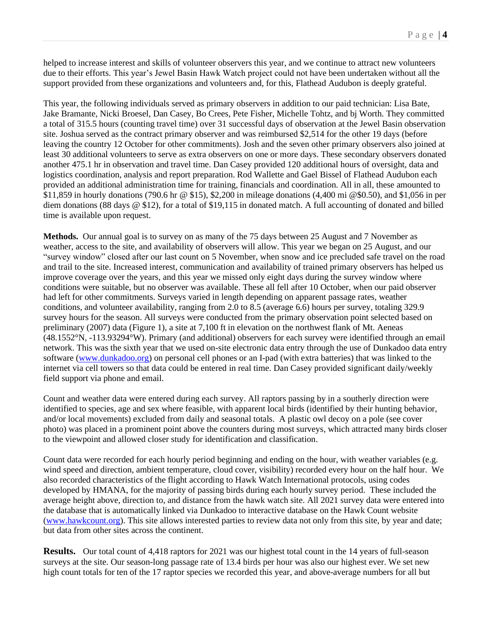helped to increase interest and skills of volunteer observers this year, and we continue to attract new volunteers due to their efforts. This year's Jewel Basin Hawk Watch project could not have been undertaken without all the support provided from these organizations and volunteers and, for this, Flathead Audubon is deeply grateful.

This year, the following individuals served as primary observers in addition to our paid technician: Lisa Bate, Jake Bramante, Nicki Broesel, Dan Casey, Bo Crees, Pete Fisher, Michelle Tohtz, and bj Worth. They committed a total of 315.5 hours (counting travel time) over 31 successful days of observation at the Jewel Basin observation site. Joshua served as the contract primary observer and was reimbursed \$2,514 for the other 19 days (before leaving the country 12 October for other commitments). Josh and the seven other primary observers also joined at least 30 additional volunteers to serve as extra observers on one or more days. These secondary observers donated another 475.1 hr in observation and travel time. Dan Casey provided 120 additional hours of oversight, data and logistics coordination, analysis and report preparation. Rod Wallette and Gael Bissel of Flathead Audubon each provided an additional administration time for training, financials and coordination. All in all, these amounted to \$11,859 in hourly donations (790.6 hr @ \$15), \$2,200 in mileage donations (4,400 mi @\$0.50), and \$1,056 in per diem donations (88 days @ \$12), for a total of \$19,115 in donated match. A full accounting of donated and billed time is available upon request.

**Methods.** Our annual goal is to survey on as many of the 75 days between 25 August and 7 November as weather, access to the site, and availability of observers will allow. This year we began on 25 August, and our "survey window" closed after our last count on 5 November, when snow and ice precluded safe travel on the road and trail to the site. Increased interest, communication and availability of trained primary observers has helped us improve coverage over the years, and this year we missed only eight days during the survey window where conditions were suitable, but no observer was available. These all fell after 10 October, when our paid observer had left for other commitments. Surveys varied in length depending on apparent passage rates, weather conditions, and volunteer availability, ranging from 2.0 to 8.5 (average 6.6) hours per survey, totaling 329.9 survey hours for the season. All surveys were conducted from the primary observation point selected based on preliminary (2007) data (Figure 1), a site at 7,100 ft in elevation on the northwest flank of Mt. Aeneas (48.1552°N, -113.93294°W). Primary (and additional) observers for each survey were identified through an email network. This was the sixth year that we used on-site electronic data entry through the use of Dunkadoo data entry software [\(www.dunkadoo.org\)](http://www.dunkadoo.org/) on personal cell phones or an I-pad (with extra batteries) that was linked to the internet via cell towers so that data could be entered in real time. Dan Casey provided significant daily/weekly field support via phone and email.

Count and weather data were entered during each survey. All raptors passing by in a southerly direction were identified to species, age and sex where feasible, with apparent local birds (identified by their hunting behavior, and/or local movements) excluded from daily and seasonal totals. A plastic owl decoy on a pole (see cover photo) was placed in a prominent point above the counters during most surveys, which attracted many birds closer to the viewpoint and allowed closer study for identification and classification.

Count data were recorded for each hourly period beginning and ending on the hour, with weather variables (e.g. wind speed and direction, ambient temperature, cloud cover, visibility) recorded every hour on the half hour. We also recorded characteristics of the flight according to Hawk Watch International protocols, using codes developed by HMANA, for the majority of passing birds during each hourly survey period. These included the average height above, direction to, and distance from the hawk watch site. All 2021 survey data were entered into the database that is automatically linked via Dunkadoo to interactive database on the Hawk Count website [\(www.hawkcount.org\)](/../../../../AppData/Roaming/Microsoft/AppData/Local/Microsoft/Windows/INetCache/IE/Downloads/www.hawkcount.org). This site allows interested parties to review data not only from this site, by year and date; but data from other sites across the continent.

**Results.** Our total count of 4,418 raptors for 2021 was our highest total count in the 14 years of full-season surveys at the site. Our season-long passage rate of 13.4 birds per hour was also our highest ever. We set new high count totals for ten of the 17 raptor species we recorded this year, and above-average numbers for all but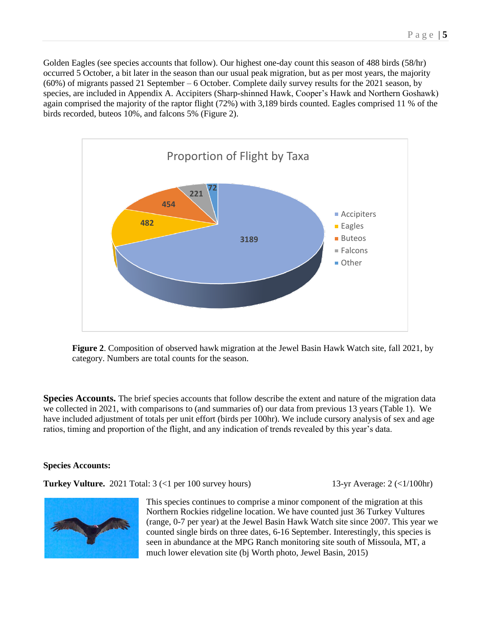Golden Eagles (see species accounts that follow). Our highest one-day count this season of 488 birds (58/hr) occurred 5 October, a bit later in the season than our usual peak migration, but as per most years, the majority (60%) of migrants passed 21 September – 6 October. Complete daily survey results for the 2021 season, by species, are included in Appendix A. Accipiters (Sharp-shinned Hawk, Cooper's Hawk and Northern Goshawk) again comprised the majority of the raptor flight (72%) with 3,189 birds counted. Eagles comprised 11 % of the birds recorded, buteos 10%, and falcons 5% (Figure 2).



**Figure 2**. Composition of observed hawk migration at the Jewel Basin Hawk Watch site, fall 2021, by category. Numbers are total counts for the season.

**Species Accounts.** The brief species accounts that follow describe the extent and nature of the migration data we collected in 2021, with comparisons to (and summaries of) our data from previous 13 years (Table 1). We have included adjustment of totals per unit effort (birds per 100hr). We include cursory analysis of sex and age ratios, timing and proportion of the flight, and any indication of trends revealed by this year's data.

### **Species Accounts:**

**Turkey Vulture.** 2021 Total: 3 (<1 per 100 survey hours) 13-yr Average: 2 (<1/100hr)



This species continues to comprise a minor component of the migration at this Northern Rockies ridgeline location. We have counted just 36 Turkey Vultures (range, 0-7 per year) at the Jewel Basin Hawk Watch site since 2007. This year we counted single birds on three dates, 6-16 September. Interestingly, this species is seen in abundance at the MPG Ranch monitoring site south of Missoula, MT, a much lower elevation site (bj Worth photo, Jewel Basin, 2015)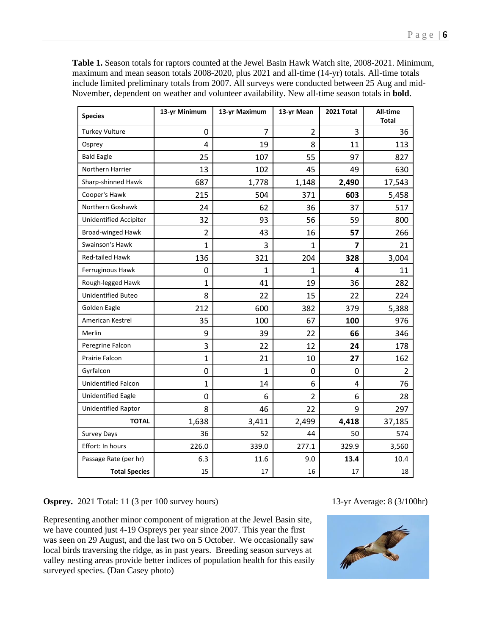**Table 1.** Season totals for raptors counted at the Jewel Basin Hawk Watch site, 2008-2021. Minimum, maximum and mean season totals 2008-2020, plus 2021 and all-time (14-yr) totals. All-time totals include limited preliminary totals from 2007. All surveys were conducted between 25 Aug and mid-November, dependent on weather and volunteer availability. New all-time season totals in **bold**.

| <b>Species</b>                | 13-yr Minimum  | 13-yr Maximum  | 13-yr Mean     | 2021 Total   | All-time<br><b>Total</b> |
|-------------------------------|----------------|----------------|----------------|--------------|--------------------------|
| <b>Turkey Vulture</b>         | 0              | $\overline{7}$ | 2              | 3            | 36                       |
| Osprey                        | 4              | 19             | 8              | 11           | 113                      |
| <b>Bald Eagle</b>             | 25             | 107            | 55             | 97           | 827                      |
| Northern Harrier              | 13             | 102            | 45             | 49           | 630                      |
| Sharp-shinned Hawk            | 687            | 1,778          | 1,148          | 2,490        | 17,543                   |
| Cooper's Hawk                 | 215            | 504            | 371            | 603          | 5,458                    |
| Northern Goshawk              | 24             | 62             | 36             | 37           | 517                      |
| <b>Unidentified Accipiter</b> | 32             | 93             | 56             | 59           | 800                      |
| Broad-winged Hawk             | $\overline{2}$ | 43             | 16             | 57           | 266                      |
| Swainson's Hawk               | 1              | 3              | 1              | 7            | 21                       |
| Red-tailed Hawk               | 136            | 321            | 204            | 328          | 3,004                    |
| Ferruginous Hawk              | 0              | 1              | 1              | 4            | 11                       |
| Rough-legged Hawk             | 1              | 41             | 19             | 36           | 282                      |
| <b>Unidentified Buteo</b>     | 8              | 22             | 15             | 22           | 224                      |
| Golden Eagle                  | 212            | 600            | 382            | 379          | 5,388                    |
| American Kestrel              | 35             | 100            | 67             | 100          | 976                      |
| Merlin                        | 9              | 39             | 22             | 66           | 346                      |
| Peregrine Falcon              | 3              | 22             | 12             | 24           | 178                      |
| Prairie Falcon                | 1              | 21             | 10             | 27           | 162                      |
| Gyrfalcon                     | 0              | $\mathbf{1}$   | 0              | $\mathbf{0}$ | $\overline{2}$           |
| <b>Unidentified Falcon</b>    | $\mathbf{1}$   | 14             | 6              | 4            | 76                       |
| <b>Unidentified Eagle</b>     | 0              | 6              | $\overline{2}$ | 6            | 28                       |
| <b>Unidentified Raptor</b>    | 8              | 46             | 22             | 9            | 297                      |
| <b>TOTAL</b>                  | 1,638          | 3,411          | 2,499          | 4,418        | 37,185                   |
| <b>Survey Days</b>            | 36             | 52             | 44             | 50           | 574                      |
| Effort: In hours              | 226.0          | 339.0          | 277.1          | 329.9        | 3,560                    |
| Passage Rate (per hr)         | 6.3            | 11.6           | 9.0            | 13.4         | 10.4                     |
| <b>Total Species</b>          | 15             | 17             | 16             | 17           | 18                       |

**Osprey.** 2021 Total: 11 (3 per 100 survey hours) 13-yr Average: 8 (3/100hr)

Representing another minor component of migration at the Jewel Basin site, we have counted just 4-19 Ospreys per year since 2007. This year the first was seen on 29 August, and the last two on 5 October. We occasionally saw local birds traversing the ridge, as in past years. Breeding season surveys at valley nesting areas provide better indices of population health for this easily surveyed species. (Dan Casey photo)

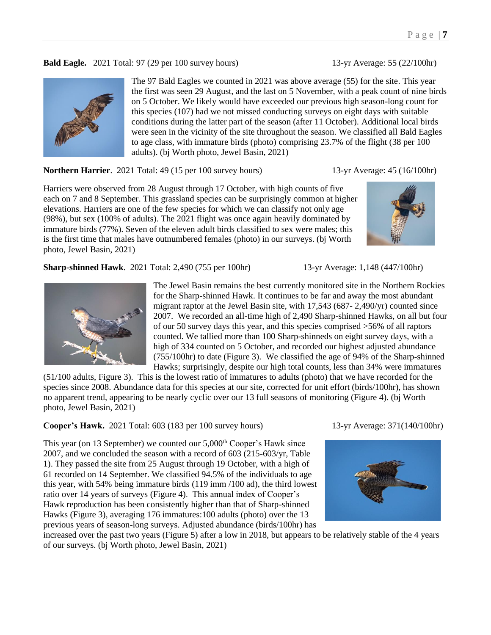**Bald Eagle.** 2021 Total: 97 (29 per 100 survey hours) 13-yr Average: 55 (22/100hr)



The 97 Bald Eagles we counted in 2021 was above average (55) for the site. This year the first was seen 29 August, and the last on 5 November, with a peak count of nine birds on 5 October. We likely would have exceeded our previous high season-long count for this species (107) had we not missed conducting surveys on eight days with suitable conditions during the latter part of the season (after 11 October). Additional local birds were seen in the vicinity of the site throughout the season. We classified all Bald Eagles to age class, with immature birds (photo) comprising 23.7% of the flight (38 per 100 adults). (bj Worth photo, Jewel Basin, 2021)

**Northern Harrier**. 2021 Total: 49 (15 per 100 survey hours) 13-yr Average: 45 (16/100hr)

Harriers were observed from 28 August through 17 October, with high counts of five each on 7 and 8 September. This grassland species can be surprisingly common at higher elevations. Harriers are one of the few species for which we can classify not only age (98%), but sex (100% of adults). The 2021 flight was once again heavily dominated by immature birds (77%). Seven of the eleven adult birds classified to sex were males; this is the first time that males have outnumbered females (photo) in our surveys. (bj Worth photo, Jewel Basin, 2021)

**Sharp-shinned Hawk**. 2021 Total: 2,490 (755 per 100hr) 13-yr Average: 1,148 (447/100hr)



The Jewel Basin remains the best currently monitored site in the Northern Rockies for the Sharp-shinned Hawk. It continues to be far and away the most abundant migrant raptor at the Jewel Basin site, with 17,543 (687- 2,490/yr) counted since 2007. We recorded an all-time high of 2,490 Sharp-shinned Hawks, on all but four of our 50 survey days this year, and this species comprised >56% of all raptors counted. We tallied more than 100 Sharp-shinneds on eight survey days, with a high of 334 counted on 5 October, and recorded our highest adjusted abundance (755/100hr) to date (Figure 3). We classified the age of 94% of the Sharp-shinned Hawks; surprisingly, despite our high total counts, less than 34% were immatures

(51/100 adults, Figure 3). This is the lowest ratio of immatures to adults (photo) that we have recorded for the species since 2008. Abundance data for this species at our site, corrected for unit effort (birds/100hr), has shown no apparent trend, appearing to be nearly cyclic over our 13 full seasons of monitoring (Figure 4). (bj Worth photo, Jewel Basin, 2021)

**Cooper's Hawk.** 2021 Total: 603 (183 per 100 survey hours) 13-yr Average: 371(140/100hr)

This year (on 13 September) we counted our 5,000<sup>th</sup> Cooper's Hawk since 2007, and we concluded the season with a record of 603 (215-603/yr, Table 1). They passed the site from 25 August through 19 October, with a high of 61 recorded on 14 September. We classified 94.5% of the individuals to age this year, with 54% being immature birds (119 imm /100 ad), the third lowest ratio over 14 years of surveys (Figure 4). This annual index of Cooper's Hawk reproduction has been consistently higher than that of Sharp-shinned Hawks (Figure 3), averaging 176 immatures:100 adults (photo) over the 13 previous years of season-long surveys. Adjusted abundance (birds/100hr) has



increased over the past two years (Figure 5) after a low in 2018, but appears to be relatively stable of the 4 years of our surveys. (bj Worth photo, Jewel Basin, 2021)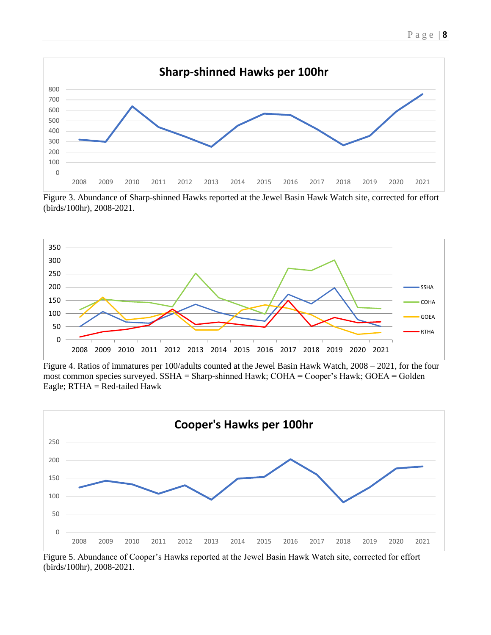



Figure 3. Abundance of Sharp-shinned Hawks reported at the Jewel Basin Hawk Watch site, corrected for effort (birds/100hr), 2008-2021.



Figure 4. Ratios of immatures per 100/adults counted at the Jewel Basin Hawk Watch, 2008 – 2021, for the four most common species surveyed. SSHA = Sharp-shinned Hawk; COHA = Cooper's Hawk; GOEA = Golden Eagle;  $RTHA = Red-tailed Hawk$ 



Figure 5. Abundance of Cooper's Hawks reported at the Jewel Basin Hawk Watch site, corrected for effort (birds/100hr), 2008-2021.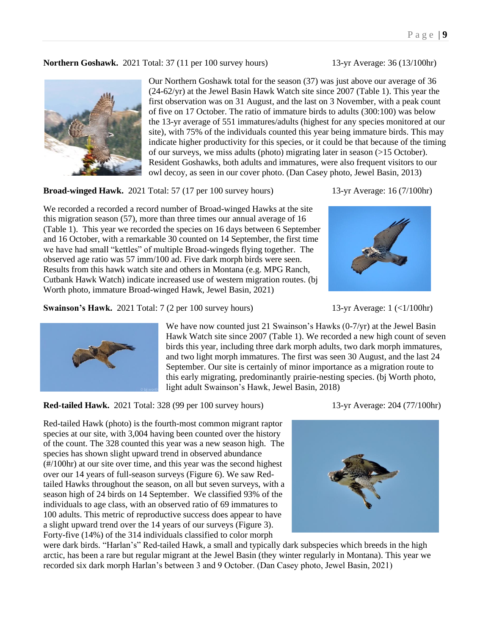**Northern Goshawk.** 2021 Total: 37 (11 per 100 survey hours) 13-yr Average: 36 (13/100hr)



Our Northern Goshawk total for the season (37) was just above our average of 36 (24-62/yr) at the Jewel Basin Hawk Watch site since 2007 (Table 1). This year the first observation was on 31 August, and the last on 3 November, with a peak count of five on 17 October. The ratio of immature birds to adults (300:100) was below the 13-yr average of 551 immatures/adults (highest for any species monitored at our site), with 75% of the individuals counted this year being immature birds. This may indicate higher productivity for this species, or it could be that because of the timing of our surveys, we miss adults (photo) migrating later in season (>15 October). Resident Goshawks, both adults and immatures, were also frequent visitors to our owl decoy, as seen in our cover photo. (Dan Casey photo, Jewel Basin, 2013)

**Broad-winged Hawk.** 2021 Total: 57 (17 per 100 survey hours) 13-yr Average: 16 (7/100hr)

We recorded a recorded a record number of Broad-winged Hawks at the site this migration season (57), more than three times our annual average of 16 (Table 1). This year we recorded the species on 16 days between 6 September and 16 October, with a remarkable 30 counted on 14 September, the first time we have had small "kettles" of multiple Broad-wingeds flying together. The observed age ratio was 57 imm/100 ad. Five dark morph birds were seen. Results from this hawk watch site and others in Montana (e.g. MPG Ranch, Cutbank Hawk Watch) indicate increased use of western migration routes. (bj Worth photo, immature Broad-winged Hawk, Jewel Basin, 2021)

**Swainson's Hawk.** 2021 Total: 7 (2 per 100 survey hours) 13-yr Average: 1 (<1/100hr)





We have now counted just 21 Swainson's Hawks (0-7/yr) at the Jewel Basin Hawk Watch site since 2007 (Table 1). We recorded a new high count of seven birds this year, including three dark morph adults, two dark morph immatures, and two light morph immatures. The first was seen 30 August, and the last 24 September. Our site is certainly of minor importance as a migration route to this early migrating, predominantly prairie-nesting species. (bj Worth photo, light adult Swainson's Hawk, Jewel Basin, 2018)

**Red-tailed Hawk.** 2021 Total: 328 (99 per 100 survey hours) 13-yr Average: 204 (77/100hr)

Red-tailed Hawk (photo) is the fourth-most common migrant raptor species at our site, with 3,004 having been counted over the history of the count. The 328 counted this year was a new season high. The species has shown slight upward trend in observed abundance (#/100hr) at our site over time, and this year was the second highest over our 14 years of full-season surveys (Figure 6). We saw Redtailed Hawks throughout the season, on all but seven surveys, with a season high of 24 birds on 14 September. We classified 93% of the individuals to age class, with an observed ratio of 69 immatures to 100 adults. This metric of reproductive success does appear to have a slight upward trend over the 14 years of our surveys (Figure 3). Forty-five (14%) of the 314 individuals classified to color morph



were dark birds. "Harlan's" Red-tailed Hawk, a small and typically dark subspecies which breeds in the high arctic, has been a rare but regular migrant at the Jewel Basin (they winter regularly in Montana). This year we recorded six dark morph Harlan's between 3 and 9 October. (Dan Casey photo, Jewel Basin, 2021)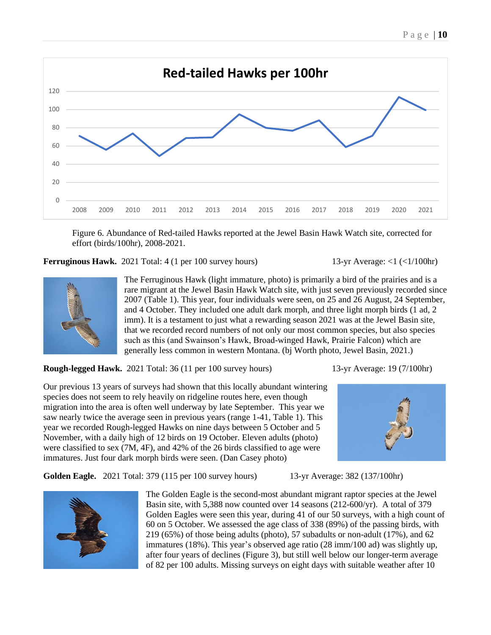

Figure 6. Abundance of Red-tailed Hawks reported at the Jewel Basin Hawk Watch site, corrected for effort (birds/100hr), 2008-2021.

**Ferruginous Hawk.** 2021 Total: 4 (1 per 100 survey hours) 13-yr Average:  $\langle 1 \rangle \langle 1/100$ hr)



The Ferruginous Hawk (light immature, photo) is primarily a bird of the prairies and is a rare migrant at the Jewel Basin Hawk Watch site, with just seven previously recorded since 2007 (Table 1). This year, four individuals were seen, on 25 and 26 August, 24 September, and 4 October. They included one adult dark morph, and three light morph birds (1 ad, 2 imm). It is a testament to just what a rewarding season 2021 was at the Jewel Basin site, that we recorded record numbers of not only our most common species, but also species such as this (and Swainson's Hawk, Broad-winged Hawk, Prairie Falcon) which are generally less common in western Montana. (bj Worth photo, Jewel Basin, 2021.)

**Rough-legged Hawk.** 2021 Total: 36 (11 per 100 survey hours) 13-yr Average: 19 (7/100hr)

Our previous 13 years of surveys had shown that this locally abundant wintering species does not seem to rely heavily on ridgeline routes here, even though migration into the area is often well underway by late September. This year we saw nearly twice the average seen in previous years (range 1-41, Table 1). This year we recorded Rough-legged Hawks on nine days between 5 October and 5 November, with a daily high of 12 birds on 19 October. Eleven adults (photo) were classified to sex (7M, 4F), and 42% of the 26 birds classified to age were immatures. Just four dark morph birds were seen. (Dan Casey photo)

**Golden Eagle.** 2021 Total: 379 (115 per 100 survey hours) 13-yr Average: 382 (137/100hr)





The Golden Eagle is the second-most abundant migrant raptor species at the Jewel Basin site, with 5,388 now counted over 14 seasons (212-600/yr). A total of 379 Golden Eagles were seen this year, during 41 of our 50 surveys, with a high count of 60 on 5 October. We assessed the age class of 338 (89%) of the passing birds, with 219 (65%) of those being adults (photo), 57 subadults or non-adult (17%), and 62 immatures (18%). This year's observed age ratio (28 imm/100 ad) was slightly up, after four years of declines (Figure 3), but still well below our longer-term average of 82 per 100 adults. Missing surveys on eight days with suitable weather after 10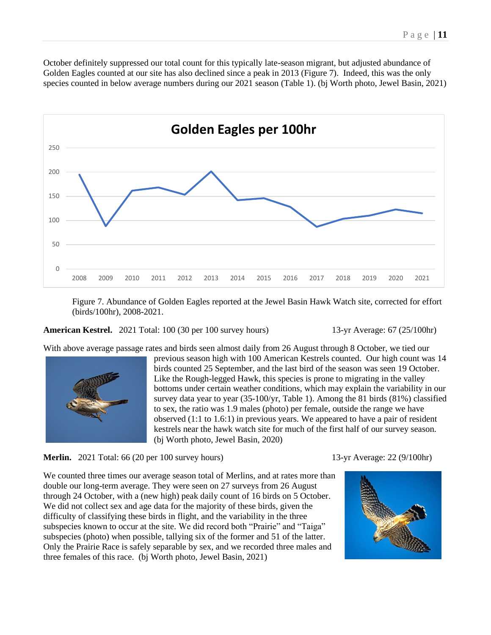October definitely suppressed our total count for this typically late-season migrant, but adjusted abundance of Golden Eagles counted at our site has also declined since a peak in 2013 (Figure 7). Indeed, this was the only species counted in below average numbers during our 2021 season (Table 1). (bj Worth photo, Jewel Basin, 2021)



Figure 7. Abundance of Golden Eagles reported at the Jewel Basin Hawk Watch site, corrected for effort (birds/100hr), 2008-2021.

**American Kestrel.** 2021 Total: 100 (30 per 100 survey hours) 13-yr Average: 67 (25/100hr)

With above average passage rates and birds seen almost daily from 26 August through 8 October, we tied our



previous season high with 100 American Kestrels counted. Our high count was 14 birds counted 25 September, and the last bird of the season was seen 19 October. Like the Rough-legged Hawk, this species is prone to migrating in the valley bottoms under certain weather conditions, which may explain the variability in our survey data year to year (35-100/yr, Table 1). Among the 81 birds (81%) classified to sex, the ratio was 1.9 males (photo) per female, outside the range we have observed (1:1 to 1.6:1) in previous years. We appeared to have a pair of resident kestrels near the hawk watch site for much of the first half of our survey season. (bj Worth photo, Jewel Basin, 2020)

**Merlin.** 2021 Total: 66 (20 per 100 survey hours) 13-yr Average: 22 (9/100hr)

We counted three times our average season total of Merlins, and at rates more than double our long-term average. They were seen on 27 surveys from 26 August through 24 October, with a (new high) peak daily count of 16 birds on 5 October. We did not collect sex and age data for the majority of these birds, given the difficulty of classifying these birds in flight, and the variability in the three subspecies known to occur at the site. We did record both "Prairie" and "Taiga" subspecies (photo) when possible, tallying six of the former and 51 of the latter. Only the Prairie Race is safely separable by sex, and we recorded three males and three females of this race. (bj Worth photo, Jewel Basin, 2021)

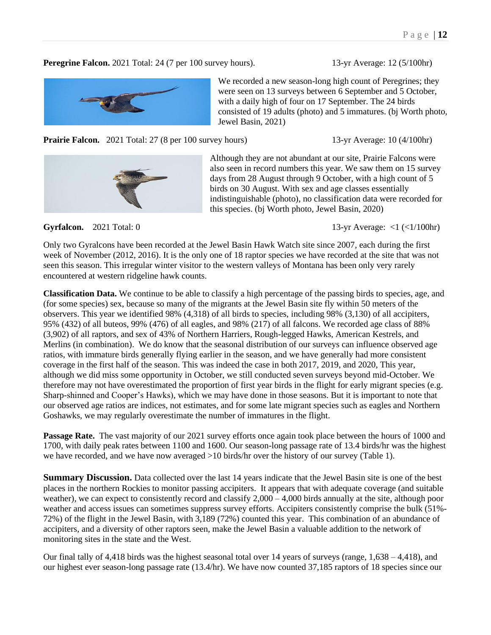### **Peregrine Falcon.** 2021 Total: 24 (7 per 100 survey hours). 13-yr Average: 12 (5/100hr)



**Prairie Falcon.** 2021 Total: 27 (8 per 100 survey hours) 13-yr Average: 10 (4/100hr)



Although they are not abundant at our site, Prairie Falcons were also seen in record numbers this year. We saw them on 15 survey days from 28 August through 9 October, with a high count of 5 birds on 30 August. With sex and age classes essentially indistinguishable (photo), no classification data were recorded for this species. (bj Worth photo, Jewel Basin, 2020)

**Gyrfalcon.** 2021 Total: 0 13-yr Average: <1 (<1/100hr)

Only two Gyralcons have been recorded at the Jewel Basin Hawk Watch site since 2007, each during the first week of November (2012, 2016). It is the only one of 18 raptor species we have recorded at the site that was not seen this season. This irregular winter visitor to the western valleys of Montana has been only very rarely encountered at western ridgeline hawk counts.

**Classification Data.** We continue to be able to classify a high percentage of the passing birds to species, age, and (for some species) sex, because so many of the migrants at the Jewel Basin site fly within 50 meters of the observers. This year we identified 98% (4,318) of all birds to species, including 98% (3,130) of all accipiters, 95% (432) of all buteos, 99% (476) of all eagles, and 98% (217) of all falcons. We recorded age class of 88% (3,902) of all raptors, and sex of 43% of Northern Harriers, Rough-legged Hawks, American Kestrels, and Merlins (in combination). We do know that the seasonal distribution of our surveys can influence observed age ratios, with immature birds generally flying earlier in the season, and we have generally had more consistent coverage in the first half of the season. This was indeed the case in both 2017, 2019, and 2020, This year, although we did miss some opportunity in October, we still conducted seven surveys beyond mid-October. We therefore may not have overestimated the proportion of first year birds in the flight for early migrant species (e.g. Sharp-shinned and Cooper's Hawks), which we may have done in those seasons. But it is important to note that our observed age ratios are indices, not estimates, and for some late migrant species such as eagles and Northern Goshawks, we may regularly overestimate the number of immatures in the flight.

**Passage Rate.** The vast majority of our 2021 survey efforts once again took place between the hours of 1000 and 1700, with daily peak rates between 1100 and 1600. Our season-long passage rate of 13.4 birds/hr was the highest we have recorded, and we have now averaged  $>10$  birds/hr over the history of our survey (Table 1).

**Summary Discussion.** Data collected over the last 14 years indicate that the Jewel Basin site is one of the best places in the northern Rockies to monitor passing accipiters. It appears that with adequate coverage (and suitable weather), we can expect to consistently record and classify  $2,000 - 4,000$  birds annually at the site, although poor weather and access issues can sometimes suppress survey efforts. Accipiters consistently comprise the bulk (51%-72%) of the flight in the Jewel Basin, with 3,189 (72%) counted this year. This combination of an abundance of accipiters, and a diversity of other raptors seen, make the Jewel Basin a valuable addition to the network of monitoring sites in the state and the West.

Our final tally of 4,418 birds was the highest seasonal total over 14 years of surveys (range, 1,638 – 4,418), and our highest ever season-long passage rate (13.4/hr). We have now counted 37,185 raptors of 18 species since our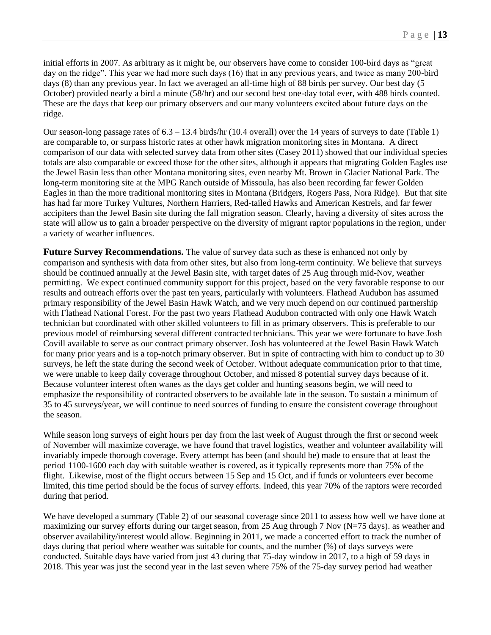initial efforts in 2007. As arbitrary as it might be, our observers have come to consider 100-bird days as "great day on the ridge". This year we had more such days (16) that in any previous years, and twice as many 200-bird days (8) than any previous year. In fact we averaged an all-time high of 88 birds per survey. Our best day (5 October) provided nearly a bird a minute (58/hr) and our second best one-day total ever, with 488 birds counted. These are the days that keep our primary observers and our many volunteers excited about future days on the ridge.

Our season-long passage rates of 6.3 – 13.4 birds/hr (10.4 overall) over the 14 years of surveys to date (Table 1) are comparable to, or surpass historic rates at other hawk migration monitoring sites in Montana. A direct comparison of our data with selected survey data from other sites (Casey 2011) showed that our individual species totals are also comparable or exceed those for the other sites, although it appears that migrating Golden Eagles use the Jewel Basin less than other Montana monitoring sites, even nearby Mt. Brown in Glacier National Park. The long-term monitoring site at the MPG Ranch outside of Missoula, has also been recording far fewer Golden Eagles in than the more traditional monitoring sites in Montana (Bridgers, Rogers Pass, Nora Ridge). But that site has had far more Turkey Vultures, Northern Harriers, Red-tailed Hawks and American Kestrels, and far fewer accipiters than the Jewel Basin site during the fall migration season. Clearly, having a diversity of sites across the state will allow us to gain a broader perspective on the diversity of migrant raptor populations in the region, under a variety of weather influences.

**Future Survey Recommendations.** The value of survey data such as these is enhanced not only by comparison and synthesis with data from other sites, but also from long-term continuity. We believe that surveys should be continued annually at the Jewel Basin site, with target dates of 25 Aug through mid-Nov, weather permitting. We expect continued community support for this project, based on the very favorable response to our results and outreach efforts over the past ten years, particularly with volunteers. Flathead Audubon has assumed primary responsibility of the Jewel Basin Hawk Watch, and we very much depend on our continued partnership with Flathead National Forest. For the past two years Flathead Audubon contracted with only one Hawk Watch technician but coordinated with other skilled volunteers to fill in as primary observers. This is preferable to our previous model of reimbursing several different contracted technicians. This year we were fortunate to have Josh Covill available to serve as our contract primary observer. Josh has volunteered at the Jewel Basin Hawk Watch for many prior years and is a top-notch primary observer. But in spite of contracting with him to conduct up to 30 surveys, he left the state during the second week of October. Without adequate communication prior to that time, we were unable to keep daily coverage throughout October, and missed 8 potential survey days because of it. Because volunteer interest often wanes as the days get colder and hunting seasons begin, we will need to emphasize the responsibility of contracted observers to be available late in the season. To sustain a minimum of 35 to 45 surveys/year, we will continue to need sources of funding to ensure the consistent coverage throughout the season.

While season long surveys of eight hours per day from the last week of August through the first or second week of November will maximize coverage, we have found that travel logistics, weather and volunteer availability will invariably impede thorough coverage. Every attempt has been (and should be) made to ensure that at least the period 1100-1600 each day with suitable weather is covered, as it typically represents more than 75% of the flight. Likewise, most of the flight occurs between 15 Sep and 15 Oct, and if funds or volunteers ever become limited, this time period should be the focus of survey efforts. Indeed, this year 70% of the raptors were recorded during that period.

We have developed a summary (Table 2) of our seasonal coverage since 2011 to assess how well we have done at maximizing our survey efforts during our target season, from 25 Aug through 7 Nov (N=75 days). as weather and observer availability/interest would allow. Beginning in 2011, we made a concerted effort to track the number of days during that period where weather was suitable for counts, and the number (%) of days surveys were conducted. Suitable days have varied from just 43 during that 75-day window in 2017, to a high of 59 days in 2018. This year was just the second year in the last seven where 75% of the 75-day survey period had weather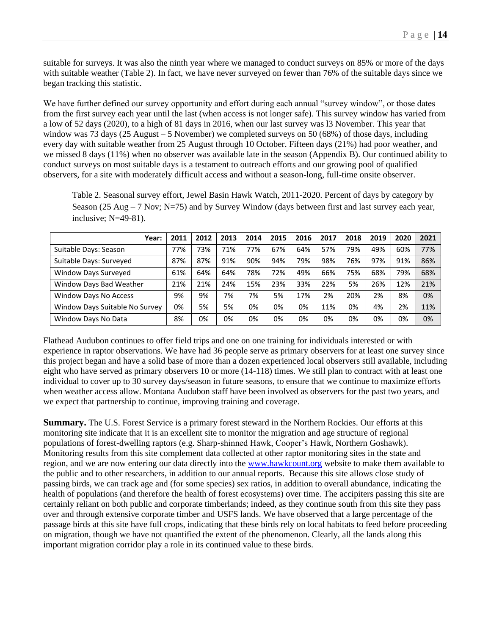suitable for surveys. It was also the ninth year where we managed to conduct surveys on 85% or more of the days with suitable weather (Table 2). In fact, we have never surveyed on fewer than 76% of the suitable days since we began tracking this statistic.

We have further defined our survey opportunity and effort during each annual "survey window", or those dates from the first survey each year until the last (when access is not longer safe). This survey window has varied from a low of 52 days (2020), to a high of 81 days in 2016, when our last survey was l3 November. This year that window was 73 days (25 August – 5 November) we completed surveys on 50 (68%) of those days, including every day with suitable weather from 25 August through 10 October. Fifteen days (21%) had poor weather, and we missed 8 days (11%) when no observer was available late in the season (Appendix B). Our continued ability to conduct surveys on most suitable days is a testament to outreach efforts and our growing pool of qualified observers, for a site with moderately difficult access and without a season-long, full-time onsite observer.

Table 2. Seasonal survey effort, Jewel Basin Hawk Watch, 2011-2020. Percent of days by category by Season (25 Aug – 7 Nov; N=75) and by Survey Window (days between first and last survey each year, inclusive; N=49-81).

| Year:                          | 2011 | 2012 | 2013 | 2014 | 2015 | 2016 | 2017 | 2018 | 2019 | 2020 | 2021 |
|--------------------------------|------|------|------|------|------|------|------|------|------|------|------|
| Suitable Days: Season          | 77%  | 73%  | 71%  | 77%  | 67%  | 64%  | 57%  | 79%  | 49%  | 60%  | 77%  |
| Suitable Days: Surveyed        | 87%  | 87%  | 91%  | 90%  | 94%  | 79%  | 98%  | 76%  | 97%  | 91%  | 86%  |
| Window Days Surveyed           | 61%  | 64%  | 64%  | 78%  | 72%  | 49%  | 66%  | 75%  | 68%  | 79%  | 68%  |
| Window Days Bad Weather        | 21%  | 21%  | 24%  | 15%  | 23%  | 33%  | 22%  | 5%   | 26%  | 12%  | 21%  |
| Window Days No Access          | 9%   | 9%   | 7%   | 7%   | 5%   | 17%  | 2%   | 20%  | 2%   | 8%   | 0%   |
| Window Days Suitable No Survey | 0%   | 5%   | 5%   | 0%   | 0%   | 0%   | 11%  | 0%   | 4%   | 2%   | 11%  |
| Window Days No Data            | 8%   | 0%   | 0%   | 0%   | 0%   | 0%   | 0%   | 0%   | 0%   | 0%   | 0%   |

Flathead Audubon continues to offer field trips and one on one training for individuals interested or with experience in raptor observations. We have had 36 people serve as primary observers for at least one survey since this project began and have a solid base of more than a dozen experienced local observers still available, including eight who have served as primary observers 10 or more (14-118) times. We still plan to contract with at least one individual to cover up to 30 survey days/season in future seasons, to ensure that we continue to maximize efforts when weather access allow. Montana Audubon staff have been involved as observers for the past two years, and we expect that partnership to continue, improving training and coverage.

**Summary.** The U.S. Forest Service is a primary forest steward in the Northern Rockies. Our efforts at this monitoring site indicate that it is an excellent site to monitor the migration and age structure of regional populations of forest-dwelling raptors (e.g. Sharp-shinned Hawk, Cooper's Hawk, Northern Goshawk). Monitoring results from this site complement data collected at other raptor monitoring sites in the state and region, and we are now entering our data directly into the [www.hawkcount.org](/../../../../AppData/Roaming/Microsoft/AppData/Local/AppData/Local/Microsoft/Windows/AppData/Local/Microsoft/Windows/Temporary%20Internet%20Files/Content.Outlook/TXIZ88V1/www.hawkcount.org) website to make them available to the public and to other researchers, in addition to our annual reports. Because this site allows close study of passing birds, we can track age and (for some species) sex ratios, in addition to overall abundance, indicating the health of populations (and therefore the health of forest ecosystems) over time. The accipiters passing this site are certainly reliant on both public and corporate timberlands; indeed, as they continue south from this site they pass over and through extensive corporate timber and USFS lands. We have observed that a large percentage of the passage birds at this site have full crops, indicating that these birds rely on local habitats to feed before proceeding on migration, though we have not quantified the extent of the phenomenon. Clearly, all the lands along this important migration corridor play a role in its continued value to these birds.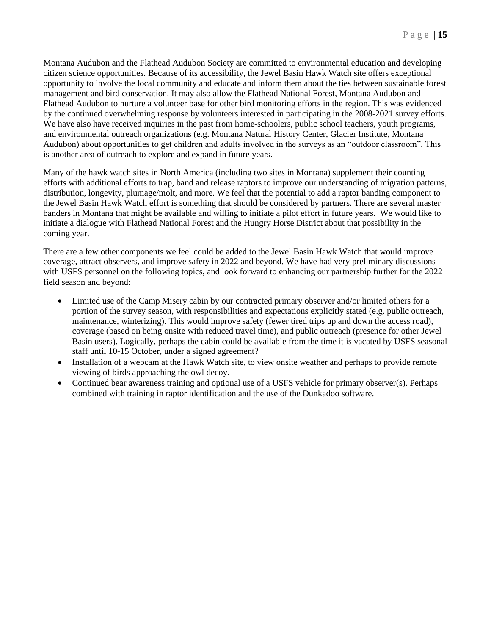Montana Audubon and the Flathead Audubon Society are committed to environmental education and developing citizen science opportunities. Because of its accessibility, the Jewel Basin Hawk Watch site offers exceptional opportunity to involve the local community and educate and inform them about the ties between sustainable forest management and bird conservation. It may also allow the Flathead National Forest, Montana Audubon and Flathead Audubon to nurture a volunteer base for other bird monitoring efforts in the region. This was evidenced by the continued overwhelming response by volunteers interested in participating in the 2008-2021 survey efforts. We have also have received inquiries in the past from home-schoolers, public school teachers, youth programs, and environmental outreach organizations (e.g. Montana Natural History Center, Glacier Institute, Montana Audubon) about opportunities to get children and adults involved in the surveys as an "outdoor classroom". This is another area of outreach to explore and expand in future years.

Many of the hawk watch sites in North America (including two sites in Montana) supplement their counting efforts with additional efforts to trap, band and release raptors to improve our understanding of migration patterns, distribution, longevity, plumage/molt, and more. We feel that the potential to add a raptor banding component to the Jewel Basin Hawk Watch effort is something that should be considered by partners. There are several master banders in Montana that might be available and willing to initiate a pilot effort in future years. We would like to initiate a dialogue with Flathead National Forest and the Hungry Horse District about that possibility in the coming year.

There are a few other components we feel could be added to the Jewel Basin Hawk Watch that would improve coverage, attract observers, and improve safety in 2022 and beyond. We have had very preliminary discussions with USFS personnel on the following topics, and look forward to enhancing our partnership further for the 2022 field season and beyond:

- Limited use of the Camp Misery cabin by our contracted primary observer and/or limited others for a portion of the survey season, with responsibilities and expectations explicitly stated (e.g. public outreach, maintenance, winterizing). This would improve safety (fewer tired trips up and down the access road), coverage (based on being onsite with reduced travel time), and public outreach (presence for other Jewel Basin users). Logically, perhaps the cabin could be available from the time it is vacated by USFS seasonal staff until 10-15 October, under a signed agreement?
- Installation of a webcam at the Hawk Watch site, to view onsite weather and perhaps to provide remote viewing of birds approaching the owl decoy.
- Continued bear awareness training and optional use of a USFS vehicle for primary observer(s). Perhaps combined with training in raptor identification and the use of the Dunkadoo software.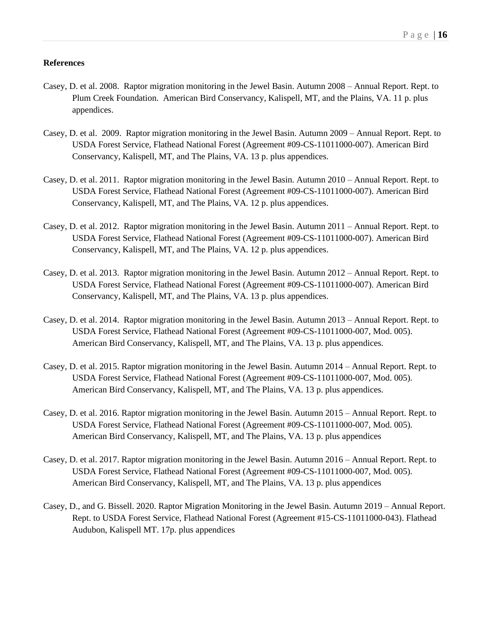### **References**

- Casey, D. et al. 2008. Raptor migration monitoring in the Jewel Basin. Autumn 2008 Annual Report. Rept. to Plum Creek Foundation. American Bird Conservancy, Kalispell, MT, and the Plains, VA. 11 p. plus appendices.
- Casey, D. et al. 2009. Raptor migration monitoring in the Jewel Basin. Autumn 2009 Annual Report. Rept. to USDA Forest Service, Flathead National Forest (Agreement #09-CS-11011000-007). American Bird Conservancy, Kalispell, MT, and The Plains, VA. 13 p. plus appendices.
- Casey, D. et al. 2011. Raptor migration monitoring in the Jewel Basin. Autumn 2010 Annual Report. Rept. to USDA Forest Service, Flathead National Forest (Agreement #09-CS-11011000-007). American Bird Conservancy, Kalispell, MT, and The Plains, VA. 12 p. plus appendices.
- Casey, D. et al. 2012. Raptor migration monitoring in the Jewel Basin. Autumn 2011 Annual Report. Rept. to USDA Forest Service, Flathead National Forest (Agreement #09-CS-11011000-007). American Bird Conservancy, Kalispell, MT, and The Plains, VA. 12 p. plus appendices.
- Casey, D. et al. 2013. Raptor migration monitoring in the Jewel Basin. Autumn 2012 Annual Report. Rept. to USDA Forest Service, Flathead National Forest (Agreement #09-CS-11011000-007). American Bird Conservancy, Kalispell, MT, and The Plains, VA. 13 p. plus appendices.
- Casey, D. et al. 2014. Raptor migration monitoring in the Jewel Basin. Autumn 2013 Annual Report. Rept. to USDA Forest Service, Flathead National Forest (Agreement #09-CS-11011000-007, Mod. 005). American Bird Conservancy, Kalispell, MT, and The Plains, VA. 13 p. plus appendices.
- Casey, D. et al. 2015. Raptor migration monitoring in the Jewel Basin. Autumn 2014 Annual Report. Rept. to USDA Forest Service, Flathead National Forest (Agreement #09-CS-11011000-007, Mod. 005). American Bird Conservancy, Kalispell, MT, and The Plains, VA. 13 p. plus appendices.
- Casey, D. et al. 2016. Raptor migration monitoring in the Jewel Basin. Autumn 2015 Annual Report. Rept. to USDA Forest Service, Flathead National Forest (Agreement #09-CS-11011000-007, Mod. 005). American Bird Conservancy, Kalispell, MT, and The Plains, VA. 13 p. plus appendices
- Casey, D. et al. 2017. Raptor migration monitoring in the Jewel Basin. Autumn 2016 Annual Report. Rept. to USDA Forest Service, Flathead National Forest (Agreement #09-CS-11011000-007, Mod. 005). American Bird Conservancy, Kalispell, MT, and The Plains, VA. 13 p. plus appendices
- Casey, D., and G. Bissell. 2020. Raptor Migration Monitoring in the Jewel Basin. Autumn 2019 Annual Report. Rept. to USDA Forest Service, Flathead National Forest (Agreement #15-CS-11011000-043). Flathead Audubon, Kalispell MT. 17p. plus appendices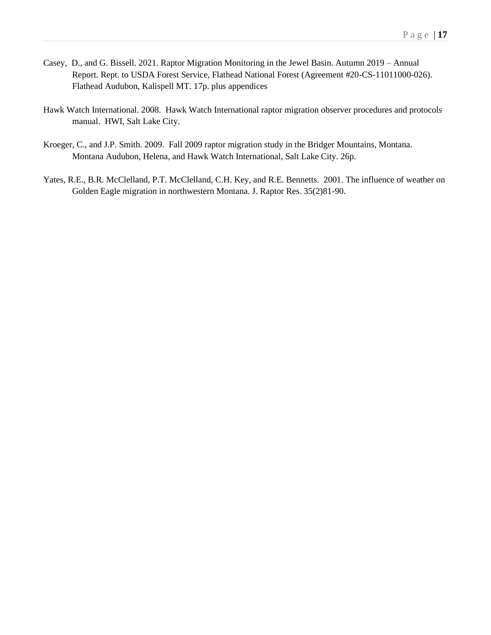- Casey, D., and G. Bissell. 2021. Raptor Migration Monitoring in the Jewel Basin. Autumn 2019 Annual Report. Rept. to USDA Forest Service, Flathead National Forest (Agreement #20-CS-11011000-026). Flathead Audubon, Kalispell MT. 17p. plus appendices
- Hawk Watch International. 2008. Hawk Watch International raptor migration observer procedures and protocols manual. HWI, Salt Lake City.
- Kroeger, C., and J.P. Smith. 2009. Fall 2009 raptor migration study in the Bridger Mountains, Montana. Montana Audubon, Helena, and Hawk Watch International, Salt Lake City. 26p.
- Yates, R.E., B.R. McClelland, P.T. McClelland, C.H. Key, and R.E. Bennetts. 2001. The influence of weather on Golden Eagle migration in northwestern Montana. J. Raptor Res. 35(2)81-90.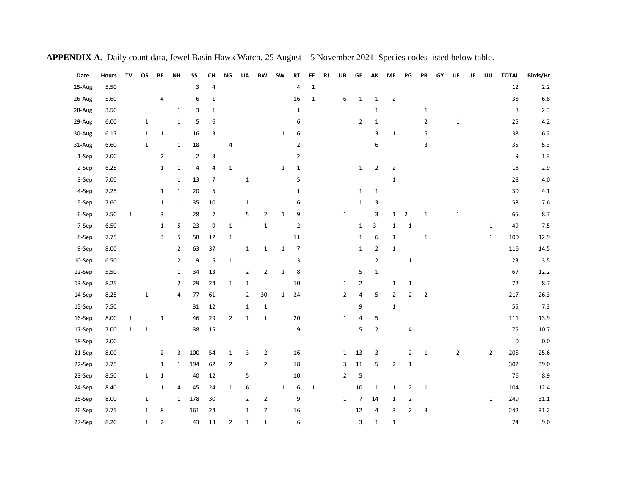| Date   | <b>Hours</b> | TV           | <b>OS</b>   | BE             | <b>NH</b>      | SS             | <b>CH</b>      | <b>NG</b>      | UA             | <b>BW</b>      | <b>SW</b>    | <b>RT</b>      | FE           | <b>RL</b> | UB             | <b>GE</b>      | AK             | ME             | PG             | PR             | GY | UF             | UE | UU             | <b>TOTAL</b> | Birds/Hr |
|--------|--------------|--------------|-------------|----------------|----------------|----------------|----------------|----------------|----------------|----------------|--------------|----------------|--------------|-----------|----------------|----------------|----------------|----------------|----------------|----------------|----|----------------|----|----------------|--------------|----------|
| 25-Aug | 5.50         |              |             |                |                | 3              | $\overline{4}$ |                |                |                |              | 4              | $\mathbf{1}$ |           |                |                |                |                |                |                |    |                |    |                | 12           | $2.2\,$  |
| 26-Aug | 5.60         |              |             | 4              |                | 6              | 1              |                |                |                |              | 16             | $\mathbf{1}$ |           | 6              | $\mathbf{1}$   | 1              | $\overline{2}$ |                |                |    |                |    |                | 38           | $6.8\,$  |
| 28-Aug | 3.50         |              |             |                | $\mathbf{1}$   | 3              | 1              |                |                |                |              | $\mathbf{1}$   |              |           |                |                | $\mathbf 1$    |                |                | $\mathbf{1}$   |    |                |    |                | 8            | 2.3      |
| 29-Aug | 6.00         |              | $\mathbf 1$ |                | $\mathbf{1}$   | 5              | 6              |                |                |                |              | 6              |              |           |                | $\overline{2}$ | 1              |                |                | $\overline{2}$ |    | 1              |    |                | 25           | 4.2      |
| 30-Aug | 6.17         |              | $\mathbf 1$ | $\mathbf 1$    | $\mathbf{1}$   | 16             | 3              |                |                |                | $\mathbf{1}$ | 6              |              |           |                |                | 3              | $\mathbf 1$    |                | 5              |    |                |    |                | 38           | $6.2\,$  |
| 31-Aug | 6.60         |              | $\mathbf 1$ |                | $\mathbf{1}$   | 18             |                | 4              |                |                |              | $\overline{2}$ |              |           |                |                | 6              |                |                | 3              |    |                |    |                | 35           | 5.3      |
| 1-Sep  | 7.00         |              |             | $\overline{2}$ |                | $\overline{2}$ | 3              |                |                |                |              | $\overline{2}$ |              |           |                |                |                |                |                |                |    |                |    |                | 9            | 1.3      |
| 2-Sep  | 6.25         |              |             | $\mathbf{1}$   | $\mathbf 1$    | 4              | 4              | $\mathbf{1}$   |                |                | $\mathbf{1}$ | $\mathbf{1}$   |              |           |                | $\mathbf{1}$   | $\overline{2}$ | $\overline{2}$ |                |                |    |                |    |                | 18           | 2.9      |
| 3-Sep  | 7.00         |              |             |                | $\mathbf{1}$   | 13             | $\overline{7}$ |                | $\mathbf 1$    |                |              | 5              |              |           |                |                |                | $\mathbf 1$    |                |                |    |                |    |                | 28           | $4.0\,$  |
| 4-Sep  | 7.25         |              |             | $\mathbf 1$    | $\mathbf{1}$   | 20             | 5              |                |                |                |              | $\mathbf 1$    |              |           |                | $\mathbf{1}$   | $\mathbf 1$    |                |                |                |    |                |    |                | 30           | 4.1      |
| 5-Sep  | 7.60         |              |             | $\mathbf{1}$   | $\mathbf 1$    | 35             | 10             |                | $\mathbf{1}$   |                |              | 6              |              |           |                | $\mathbf{1}$   | 3              |                |                |                |    |                |    |                | 58           | $7.6$    |
| 6-Sep  | 7.50         | $\mathbf{1}$ |             | 3              |                | 28             | 7              |                | 5              | $\overline{2}$ | $\mathbf 1$  | 9              |              |           | $\mathbf{1}$   |                | 3              | $\mathbf{1}$   | $\overline{2}$ | $\mathbf{1}$   |    | 1              |    |                | 65           | 8.7      |
| 7-Sep  | 6.50         |              |             | $\mathbf{1}$   | 5              | 23             | 9              | $\mathbf 1$    |                | $\mathbf 1$    |              | $\overline{2}$ |              |           |                | $\mathbf{1}$   | 3              | $\mathbf{1}$   | $\mathbf 1$    |                |    |                |    | $\mathbf{1}$   | 49           | 7.5      |
| 8-Sep  | 7.75         |              |             | 3              | 5              | 58             | 12             | $\mathbf 1$    |                |                |              | 11             |              |           |                | $\mathbf{1}$   | 6              | $\mathbf 1$    |                | $\mathbf 1$    |    |                |    | $\mathbf{1}$   | 100          | 12.9     |
| 9-Sep  | 8.00         |              |             |                | $\overline{2}$ | 63             | 37             |                | $\mathbf 1$    | $\mathbf 1$    | $\mathbf 1$  | $\overline{7}$ |              |           |                | $\mathbf{1}$   | $\overline{2}$ | $\mathbf 1$    |                |                |    |                |    |                | 116          | 14.5     |
| 10-Sep | 6.50         |              |             |                | $\overline{2}$ | 9              | 5              | $\mathbf 1$    |                |                |              | 3              |              |           |                |                | $\overline{2}$ |                | $\mathbf 1$    |                |    |                |    |                | 23           | 3.5      |
| 12-Sep | 5.50         |              |             |                | $\mathbf{1}$   | 34             | 13             |                | $\overline{2}$ | $\overline{2}$ | $\mathbf{1}$ | 8              |              |           |                | 5              | $\mathbf 1$    |                |                |                |    |                |    |                | 67           | 12.2     |
| 13-Sep | 8.25         |              |             |                | $\overline{2}$ | 29             | 24             | $\mathbf{1}$   | $\mathbf{1}$   |                |              | 10             |              |           | $\mathbf{1}$   | $\overline{2}$ |                | $\mathbf 1$    | $\mathbf 1$    |                |    |                |    |                | 72           | 8.7      |
| 14-Sep | 8.25         |              | $\mathbf 1$ |                | 4              | 77             | 61             |                | 2              | 30             | $\mathbf{1}$ | 24             |              |           | $\overline{2}$ | 4              | 5              | $\overline{2}$ | $\overline{2}$ | $\overline{2}$ |    |                |    |                | 217          | 26.3     |
| 15-Sep | 7.50         |              |             |                |                | 31             | 12             |                | $\mathbf 1$    | $\mathbf{1}$   |              |                |              |           |                | 9              |                | $\mathbf 1$    |                |                |    |                |    |                | 55           | 7.3      |
| 16-Sep | 8.00         | $\mathbf{1}$ |             | $\mathbf{1}$   |                | 46             | 29             | $\overline{2}$ | $\mathbf{1}$   | $\mathbf 1$    |              | 20             |              |           | $\mathbf{1}$   | $\sqrt{4}$     | 5              |                |                |                |    |                |    |                | 111          | 13.9     |
| 17-Sep | 7.00         | $\mathbf{1}$ | $\mathbf 1$ |                |                | 38             | 15             |                |                |                |              | 9              |              |           |                | 5              | $\overline{2}$ |                | 4              |                |    |                |    |                | 75           | 10.7     |
| 18-Sep | 2.00         |              |             |                |                |                |                |                |                |                |              |                |              |           |                |                |                |                |                |                |    |                |    |                | $\mathsf 0$  | $0.0\,$  |
| 21-Sep | 8.00         |              |             | $\overline{2}$ | 3              | 100            | 54             | $\mathbf{1}$   | 3              | $\overline{2}$ |              | 16             |              |           | $\mathbf{1}$   | 13             | 3              |                | $\overline{2}$ | $\mathbf 1$    |    | $\overline{2}$ |    | $\overline{2}$ | 205          | 25.6     |
| 22-Sep | 7.75         |              |             | $\mathbf{1}$   | $\mathbf{1}$   | 194            | 62             | $\overline{2}$ |                | $\mathbf 2$    |              | 18             |              |           | 3              | 11             | 5              | $\overline{2}$ | $\mathbf 1$    |                |    |                |    |                | 302          | 39.0     |
| 23-Sep | 8.50         |              | $\mathbf 1$ | $\mathbf{1}$   |                | 40             | 12             |                | 5              |                |              | 10             |              |           | $\overline{2}$ | 5              |                |                |                |                |    |                |    |                | 76           | 8.9      |
| 24-Sep | 8.40         |              |             | $\mathbf 1$    | 4              | 45             | 24             | $\mathbf 1$    | 6              |                | $\mathbf 1$  | 6              | $\mathbf 1$  |           |                | 10             | $\mathbf 1$    | $\mathbf 1$    | $\mathbf{2}$   | $\mathbf 1$    |    |                |    |                | 104          | 12.4     |
| 25-Sep | 8.00         |              | $\mathbf 1$ |                | $\mathbf{1}$   | 178            | 30             |                | 2              | $\overline{2}$ |              | 9              |              |           | $\mathbf{1}$   | $\overline{7}$ | 14             | $\mathbf{1}$   | $\mathbf{2}$   |                |    |                |    | $\mathbf{1}$   | 249          | 31.1     |
| 26-Sep | 7.75         |              | $\mathbf 1$ | 8              |                | 161            | 24             |                | $\mathbf{1}$   | 7              |              | 16             |              |           |                | 12             | 4              | 3              | 2              | 3              |    |                |    |                | 242          | 31.2     |
| 27-Sep | 8.20         |              | $\mathbf 1$ | $\overline{2}$ |                | 43             | 13             | $\overline{2}$ | $\mathbf{1}$   | $\mathbf 1$    |              | 6              |              |           |                | 3              | $\mathbf 1$    | $1\,$          |                |                |    |                |    |                | 74           | 9.0      |

# **APPENDIX A.** Daily count data, Jewel Basin Hawk Watch, 25 August – 5 November 2021. Species codes listed below table.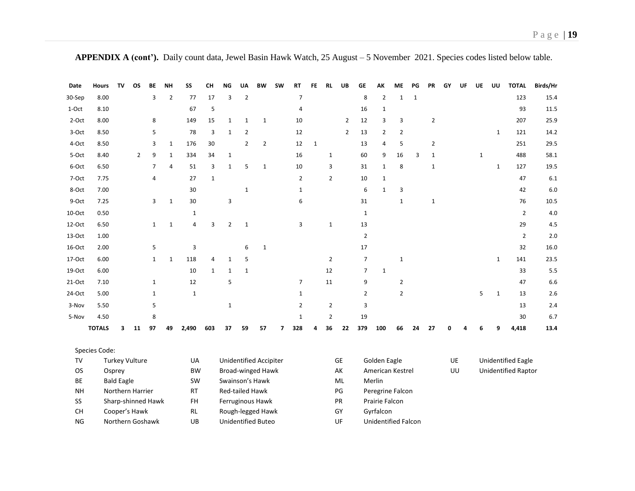**APPENDIX A (cont').** Daily count data, Jewel Basin Hawk Watch, 25 August – 5 November 2021. Species codes listed below table.

| Date            | <b>Hours</b>  | TV                | OS                                  | BE             | <b>NH</b>      | SS                     | CН             | ΝG                                      | UA             | <b>BW</b>                | <b>SW</b> | RT             | FE           | <b>RL</b>      | UB              | GE                                      | АΚ               | МE             | PG          | PR             | GY | UF | UE           | UU           | <b>TOTAL</b>              | Birds/Hr |
|-----------------|---------------|-------------------|-------------------------------------|----------------|----------------|------------------------|----------------|-----------------------------------------|----------------|--------------------------|-----------|----------------|--------------|----------------|-----------------|-----------------------------------------|------------------|----------------|-------------|----------------|----|----|--------------|--------------|---------------------------|----------|
| 30-Sep          | 8.00          |                   |                                     | 3              | $\overline{2}$ | 77                     | 17             | 3                                       | $\mathbf 2$    |                          |           | $\overline{7}$ |              |                |                 | 8                                       | $\mathbf 2$      | $\mathbf 1$    | $\mathbf 1$ |                |    |    |              |              | 123                       | 15.4     |
| 1-Oct           | 8.10          |                   |                                     |                |                | 67                     | 5              |                                         |                |                          |           | $\overline{4}$ |              |                |                 | 16                                      | $\mathbf{1}$     |                |             |                |    |    |              |              | 93                        | 11.5     |
| 2-Oct           | 8.00          |                   |                                     | 8              |                | 149                    | 15             | $\mathbf{1}$                            | $\mathbf{1}$   | $\mathbf{1}$             |           | 10             |              |                | $\overline{2}$  | 12                                      | 3                | 3              |             | $\overline{2}$ |    |    |              |              | 207                       | 25.9     |
| 3-Oct           | 8.50          |                   |                                     | 5              |                | 78                     | $\overline{3}$ | $\mathbf{1}$                            | $\overline{2}$ |                          |           | 12             |              |                | $\overline{2}$  | 13                                      | $\overline{2}$   | 2              |             |                |    |    |              | $\mathbf{1}$ | 121                       | 14.2     |
| 4-Oct           | 8.50          |                   |                                     | 3              | $\mathbf{1}$   | 176                    | 30             |                                         | $\overline{2}$ | $\overline{2}$           |           | 12             | $\mathbf{1}$ |                |                 | 13                                      | 4                | 5              |             | $\overline{2}$ |    |    |              |              | 251                       | 29.5     |
| 5-Oct           | 8.40          |                   | $\overline{2}$                      | 9              | $\mathbf{1}$   | 334                    | 34             | $\mathbf{1}$                            |                |                          |           | 16             |              | $\mathbf{1}$   |                 | 60                                      | 9                | 16             | 3           | $\mathbf{1}$   |    |    | $\mathbf{1}$ |              | 488                       | 58.1     |
| 6-Oct           | 6.50          |                   |                                     | $\overline{7}$ | 4              | 51                     | 3              | $\mathbf{1}$                            | 5              | $\mathbf{1}$             |           | 10             |              | 3              |                 | 31                                      | $\mathbf{1}$     | 8              |             | $\mathbf{1}$   |    |    |              | $\mathbf{1}$ | 127                       | 19.5     |
| 7-Oct           | 7.75          |                   |                                     | $\overline{4}$ |                | 27                     | $\mathbf{1}$   |                                         |                |                          |           | $\overline{2}$ |              | $\overline{2}$ |                 | 10                                      | $\mathbf{1}$     |                |             |                |    |    |              |              | 47                        | $6.1\,$  |
| 8-Oct           | 7.00          |                   |                                     |                |                | 30                     |                |                                         | $\mathbf{1}$   |                          |           | $\mathbf{1}$   |              |                |                 | 6                                       | $\mathbf 1$      | 3              |             |                |    |    |              |              | 42                        | 6.0      |
| 9-Oct           | 7.25          |                   |                                     | 3              | $\mathbf{1}$   | 30                     |                | 3                                       |                |                          |           | 6              |              |                |                 | 31                                      |                  | $\mathbf{1}$   |             | $\mathbf{1}$   |    |    |              |              | 76                        | 10.5     |
| 10-Oct          | 0.50          |                   |                                     |                |                | $\mathbf{1}$           |                |                                         |                |                          |           |                |              |                |                 | $\mathbf{1}$                            |                  |                |             |                |    |    |              |              | $\overline{2}$            | 4.0      |
| 12-Oct          | 6.50          |                   |                                     | $\mathbf{1}$   | $\mathbf{1}$   | $\overline{4}$         | $\overline{3}$ | $\overline{2}$                          | $\mathbf{1}$   |                          |           | 3              |              | $\mathbf{1}$   |                 | 13                                      |                  |                |             |                |    |    |              |              | 29                        | 4.5      |
| 13-Oct          | 1.00          |                   |                                     |                |                |                        |                |                                         |                |                          |           |                |              |                |                 | $\overline{2}$                          |                  |                |             |                |    |    |              |              | $\overline{2}$            | 2.0      |
| 16-Oct          | 2.00          |                   |                                     | 5              |                | 3                      |                |                                         | 6              | $\mathbf{1}$             |           |                |              |                |                 | 17                                      |                  |                |             |                |    |    |              |              | 32                        | 16.0     |
| 17-Oct          | 6.00          |                   |                                     | $\mathbf{1}$   | $\mathbf{1}$   | 118                    | 4              | 1                                       | 5              |                          |           |                |              | $\overline{2}$ |                 | $\overline{7}$                          |                  | $\mathbf{1}$   |             |                |    |    |              | $\mathbf{1}$ | 141                       | 23.5     |
| 19-Oct          | 6.00          |                   |                                     |                |                | 10                     | $\mathbf{1}$   | $\mathbf{1}$                            | $\mathbf 1$    |                          |           |                |              | 12             |                 | $\overline{7}$                          | $\mathbf 1$      |                |             |                |    |    |              |              | 33                        | 5.5      |
| 21-Oct          | 7.10          |                   |                                     | $\mathbf{1}$   |                | 12                     |                | 5                                       |                |                          |           | $\overline{7}$ |              | 11             |                 | 9                                       |                  | $\overline{2}$ |             |                |    |    |              |              | 47                        | 6.6      |
| 24-Oct          | 5.00          |                   |                                     | $\mathbf{1}$   |                | $\mathbf{1}$           |                |                                         |                |                          |           | $\mathbf{1}$   |              |                |                 | $\overline{2}$                          |                  | $\mathbf 2$    |             |                |    |    | 5            | $\mathbf{1}$ | 13                        | $2.6\,$  |
| 3-Nov           | 5.50          |                   |                                     | 5              |                |                        |                | $\mathbf{1}$                            |                |                          |           | 2              |              | $\overline{2}$ |                 | 3                                       |                  |                |             |                |    |    |              |              | 13                        | 2.4      |
| 5-Nov           | 4.50          |                   |                                     | 8              |                |                        |                |                                         |                |                          |           | $\mathbf{1}$   |              | $\overline{2}$ |                 | 19                                      |                  |                |             |                |    |    |              |              | 30                        | 6.7      |
|                 | <b>TOTALS</b> | 3                 | 11                                  | 97             | 49             | 2,490                  | 603            | 37                                      | 59             | 57                       | 7         | 328            | Δ            | 36             | 22              | 379                                     | 100              | 66             | 24          | 27             | n  |    | Բ            | q            | 4,418                     | 13.4     |
|                 | Species Code: |                   |                                     |                |                |                        |                |                                         |                |                          |           |                |              |                |                 |                                         |                  |                |             |                |    |    |              |              |                           |          |
| <b>TV</b>       |               |                   | <b>Turkey Vulture</b>               |                |                | UA                     |                |                                         |                | Unidentified Accipiter   |           |                |              |                | <b>GE</b>       |                                         | Golden Eagle     |                |             |                | UE |    |              |              | <b>Unidentified Eagle</b> |          |
| <b>OS</b>       |               | Osprey            |                                     |                |                | <b>BW</b>              |                |                                         |                | <b>Broad-winged Hawk</b> |           |                |              |                | AK              |                                         | American Kestrel |                |             |                |    | UU |              |              | Unidentified Raptor       |          |
| BE              |               | <b>Bald Eagle</b> |                                     |                |                | <b>SW</b>              |                |                                         |                | Swainson's Hawk          |           |                |              |                | ML              |                                         | Merlin           |                |             |                |    |    |              |              |                           |          |
| <b>NH</b>       |               |                   | Northern Harrier                    |                |                | <b>RT</b>              |                | Red-tailed Hawk                         |                |                          |           |                |              |                | PG              |                                         | Peregrine Falcon |                |             |                |    |    |              |              |                           |          |
| SS<br><b>CH</b> |               |                   | Sharp-shinned Hawk<br>Cooper's Hawk |                |                | <b>FH</b><br><b>RL</b> |                |                                         |                | Ferruginous Hawk         |           |                |              |                | <b>PR</b><br>GY |                                         | Prairie Falcon   |                |             |                |    |    |              |              |                           |          |
| <b>NG</b>       |               |                   | Northern Goshawk                    |                |                | UB                     |                | Rough-legged Hawk<br>Unidentified Buteo |                |                          |           |                |              | UF             |                 | Gyrfalcon<br><b>Unidentified Falcon</b> |                  |                |             |                |    |    |              |              |                           |          |